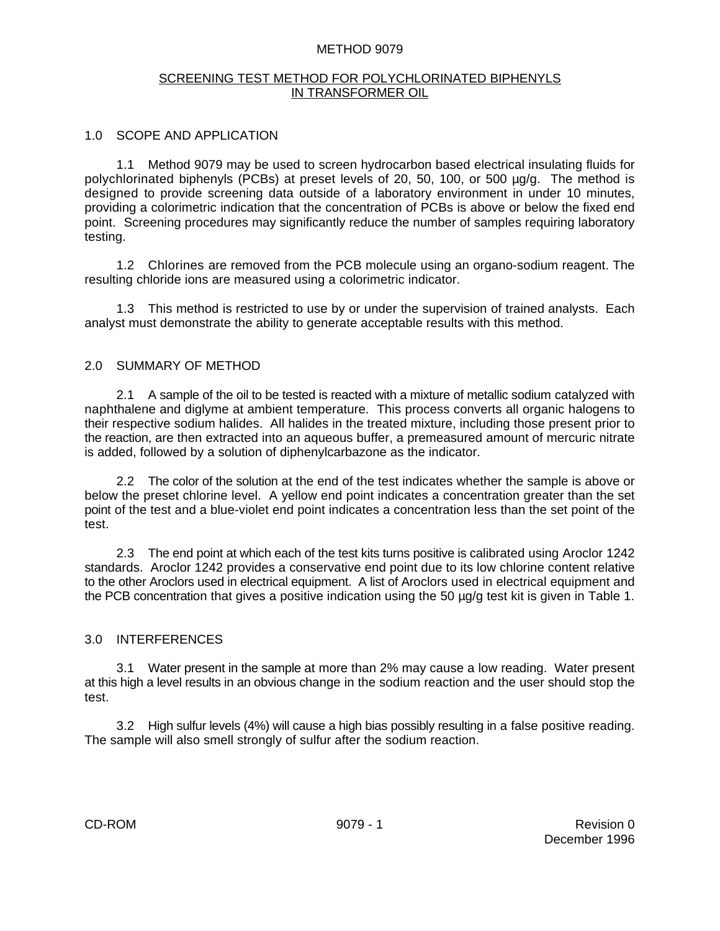### METHOD 9079

### SCREENING TEST METHOD FOR POLYCHLORINATED BIPHENYLS IN TRANSFORMER OIL

## 1.0 SCOPE AND APPLICATION

1.1 Method 9079 may be used to screen hydrocarbon based electrical insulating fluids for polychlorinated biphenyls (PCBs) at preset levels of 20, 50, 100, or 500 µg/g. The method is designed to provide screening data outside of a laboratory environment in under 10 minutes, providing a colorimetric indication that the concentration of PCBs is above or below the fixed end point. Screening procedures may significantly reduce the number of samples requiring laboratory testing.

1.2 Chlorines are removed from the PCB molecule using an organo-sodium reagent. The resulting chloride ions are measured using a colorimetric indicator.

1.3 This method is restricted to use by or under the supervision of trained analysts. Each analyst must demonstrate the ability to generate acceptable results with this method.

## 2.0 SUMMARY OF METHOD

2.1 A sample of the oil to be tested is reacted with a mixture of metallic sodium catalyzed with naphthalene and diglyme at ambient temperature. This process converts all organic halogens to their respective sodium halides. All halides in the treated mixture, including those present prior to the reaction, are then extracted into an aqueous buffer, a premeasured amount of mercuric nitrate is added, followed by a solution of diphenylcarbazone as the indicator.

2.2 The color of the solution at the end of the test indicates whether the sample is above or below the preset chlorine level. A yellow end point indicates a concentration greater than the set point of the test and a blue-violet end point indicates a concentration less than the set point of the test.

2.3 The end point at which each of the test kits turns positive is calibrated using Aroclor 1242 standards. Aroclor 1242 provides a conservative end point due to its low chlorine content relative to the other Aroclors used in electrical equipment. A list of Aroclors used in electrical equipment and the PCB concentration that gives a positive indication using the 50 µg/g test kit is given in Table 1.

### 3.0 INTERFERENCES

3.1 Water present in the sample at more than 2% may cause a low reading. Water present at this high a level results in an obvious change in the sodium reaction and the user should stop the test.

3.2 High sulfur levels (4%) will cause a high bias possibly resulting in a false positive reading. The sample will also smell strongly of sulfur after the sodium reaction.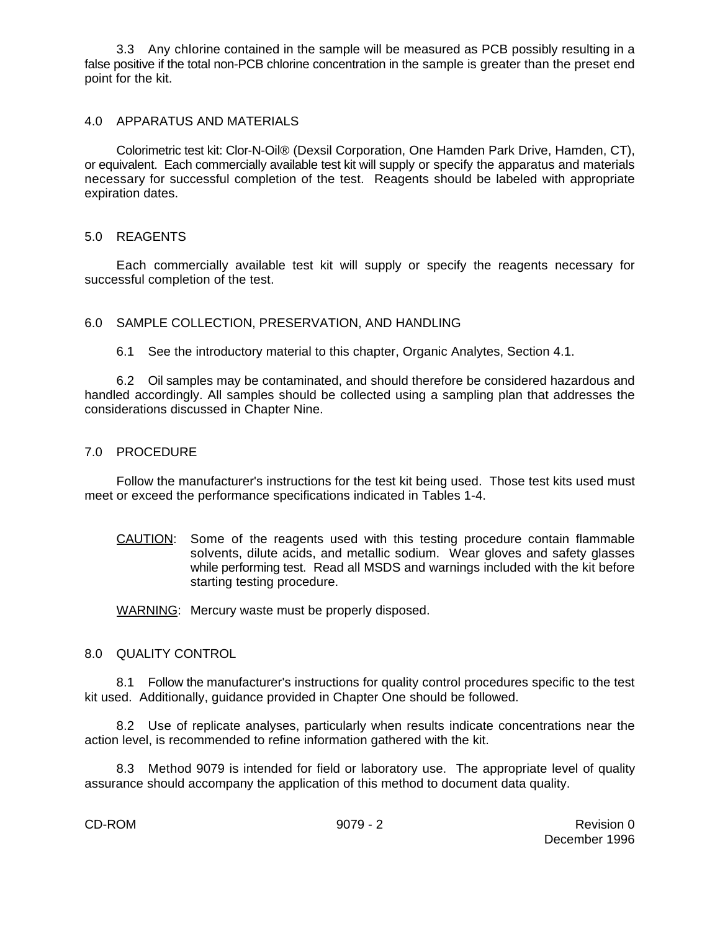3.3 Any chlorine contained in the sample will be measured as PCB possibly resulting in a false positive if the total non-PCB chlorine concentration in the sample is greater than the preset end point for the kit.

### 4.0 APPARATUS AND MATERIALS

Colorimetric test kit: Clor-N-Oil® (Dexsil Corporation, One Hamden Park Drive, Hamden, CT), or equivalent. Each commercially available test kit will supply or specify the apparatus and materials necessary for successful completion of the test. Reagents should be labeled with appropriate expiration dates.

### 5.0 REAGENTS

Each commercially available test kit will supply or specify the reagents necessary for successful completion of the test.

### 6.0 SAMPLE COLLECTION, PRESERVATION, AND HANDLING

6.1 See the introductory material to this chapter, Organic Analytes, Section 4.1.

6.2 Oil samples may be contaminated, and should therefore be considered hazardous and handled accordingly. All samples should be collected using a sampling plan that addresses the considerations discussed in Chapter Nine.

#### 7.0 PROCEDURE

Follow the manufacturer's instructions for the test kit being used. Those test kits used must meet or exceed the performance specifications indicated in Tables 1-4.

CAUTION: Some of the reagents used with this testing procedure contain flammable solvents, dilute acids, and metallic sodium. Wear gloves and safety glasses while performing test. Read all MSDS and warnings included with the kit before starting testing procedure.

WARNING: Mercury waste must be properly disposed.

#### 8.0 QUALITY CONTROL

8.1 Follow the manufacturer's instructions for quality control procedures specific to the test kit used. Additionally, guidance provided in Chapter One should be followed.

8.2 Use of replicate analyses, particularly when results indicate concentrations near the action level, is recommended to refine information gathered with the kit.

8.3 Method 9079 is intended for field or laboratory use. The appropriate level of quality assurance should accompany the application of this method to document data quality.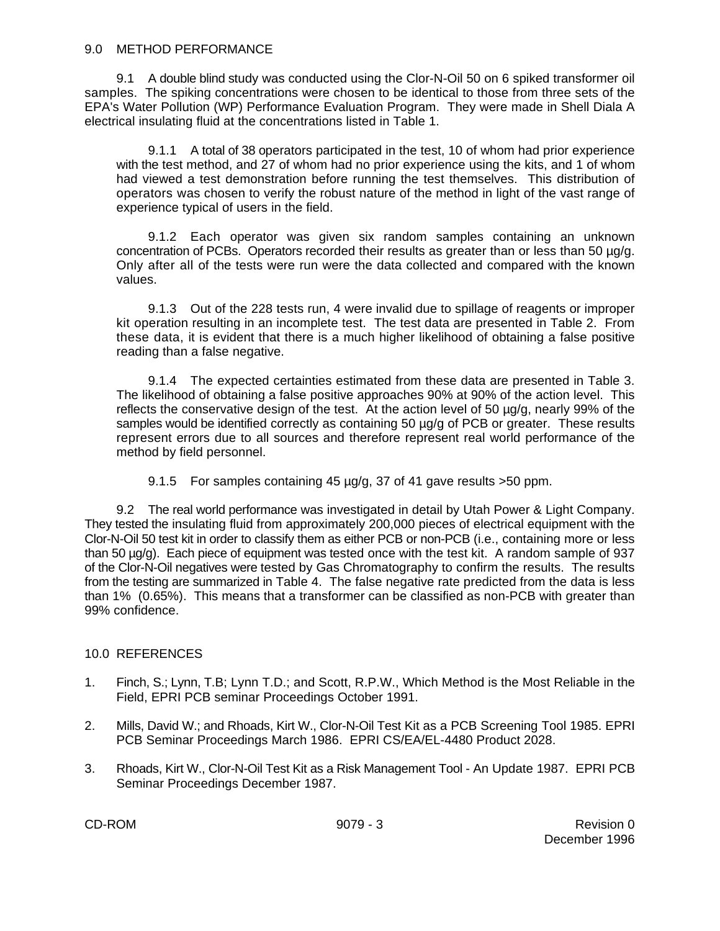9.1 A double blind study was conducted using the Clor-N-Oil 50 on 6 spiked transformer oil samples. The spiking concentrations were chosen to be identical to those from three sets of the EPA's Water Pollution (WP) Performance Evaluation Program. They were made in Shell Diala A electrical insulating fluid at the concentrations listed in Table 1.

9.1.1 A total of 38 operators participated in the test, 10 of whom had prior experience with the test method, and 27 of whom had no prior experience using the kits, and 1 of whom had viewed a test demonstration before running the test themselves. This distribution of operators was chosen to verify the robust nature of the method in light of the vast range of experience typical of users in the field.

9.1.2 Each operator was given six random samples containing an unknown concentration of PCBs. Operators recorded their results as greater than or less than 50 µg/g. Only after all of the tests were run were the data collected and compared with the known values.

9.1.3 Out of the 228 tests run, 4 were invalid due to spillage of reagents or improper kit operation resulting in an incomplete test. The test data are presented in Table 2. From these data, it is evident that there is a much higher likelihood of obtaining a false positive reading than a false negative.

9.1.4 The expected certainties estimated from these data are presented in Table 3. The likelihood of obtaining a false positive approaches 90% at 90% of the action level. This reflects the conservative design of the test. At the action level of 50 ug/g, nearly 99% of the samples would be identified correctly as containing 50  $\mu$ g/g of PCB or greater. These results represent errors due to all sources and therefore represent real world performance of the method by field personnel.

9.1.5 For samples containing 45 µg/g, 37 of 41 gave results >50 ppm.

9.2 The real world performance was investigated in detail by Utah Power & Light Company. They tested the insulating fluid from approximately 200,000 pieces of electrical equipment with the Clor-N-Oil 50 test kit in order to classify them as either PCB or non-PCB (i.e., containing more or less than 50 µg/g). Each piece of equipment was tested once with the test kit. A random sample of 937 of the Clor-N-Oil negatives were tested by Gas Chromatography to confirm the results. The results from the testing are summarized in Table 4. The false negative rate predicted from the data is less than 1% (0.65%). This means that a transformer can be classified as non-PCB with greater than 99% confidence.

## 10.0 REFERENCES

- 1. Finch, S.; Lynn, T.B; Lynn T.D.; and Scott, R.P.W., Which Method is the Most Reliable in the Field, EPRI PCB seminar Proceedings October 1991.
- 2. Mills, David W.; and Rhoads, Kirt W., Clor-N-Oil Test Kit as a PCB Screening Tool 1985. EPRI PCB Seminar Proceedings March 1986. EPRI CS/EA/EL-4480 Product 2028.
- 3. Rhoads, Kirt W., Clor-N-Oil Test Kit as a Risk Management Tool An Update 1987. EPRI PCB Seminar Proceedings December 1987.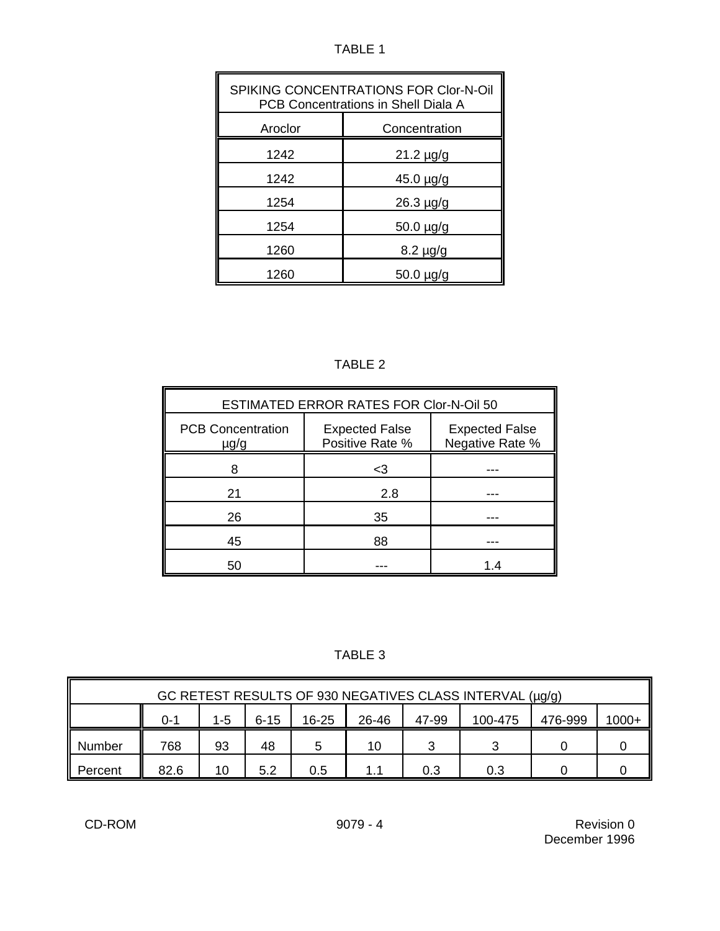TABLE 1

| <b>SPIKING CONCENTRATIONS FOR Clor-N-Oil</b><br>PCB Concentrations in Shell Diala A |                |  |  |
|-------------------------------------------------------------------------------------|----------------|--|--|
| Aroclor<br>Concentration                                                            |                |  |  |
| 1242                                                                                | $21.2 \mu g/g$ |  |  |
| 1242                                                                                | 45.0 µg/g      |  |  |
| 1254                                                                                | $26.3 \mu g/g$ |  |  |
| 1254                                                                                | 50.0 µg/g      |  |  |
| 1260                                                                                | $8.2 \mu g/g$  |  |  |
| 1260                                                                                | $50.0 \mu g/g$ |  |  |

|--|

| ESTIMATED ERROR RATES FOR Clor-N-Oil 50 |                                          |                                          |  |  |
|-----------------------------------------|------------------------------------------|------------------------------------------|--|--|
| <b>PCB Concentration</b><br>$\mu$ g/g   | <b>Expected False</b><br>Positive Rate % | <b>Expected False</b><br>Negative Rate % |  |  |
|                                         | <3                                       |                                          |  |  |
| 21                                      | 2.8                                      |                                          |  |  |
| 26                                      | 35                                       |                                          |  |  |
| 45                                      | 88                                       |                                          |  |  |
|                                         |                                          | 1.4                                      |  |  |

TABLE 3

| GC RETEST RESULTS OF 930 NEGATIVES CLASS INTERVAL (µg/g) |                                                                                        |    |     |     |     |     |     |  |  |
|----------------------------------------------------------|----------------------------------------------------------------------------------------|----|-----|-----|-----|-----|-----|--|--|
|                                                          | $1000+$<br>26-46<br>1-5<br>$6 - 15$<br>47-99<br>16-25<br>100-475<br>476-999<br>$0 - 1$ |    |     |     |     |     |     |  |  |
| Number                                                   | 768                                                                                    | 93 | 48  | 5   | 10  |     | っ   |  |  |
| Percent                                                  | 82.6                                                                                   | 10 | 5.2 | 0.5 | 1.1 | 0.3 | 0.3 |  |  |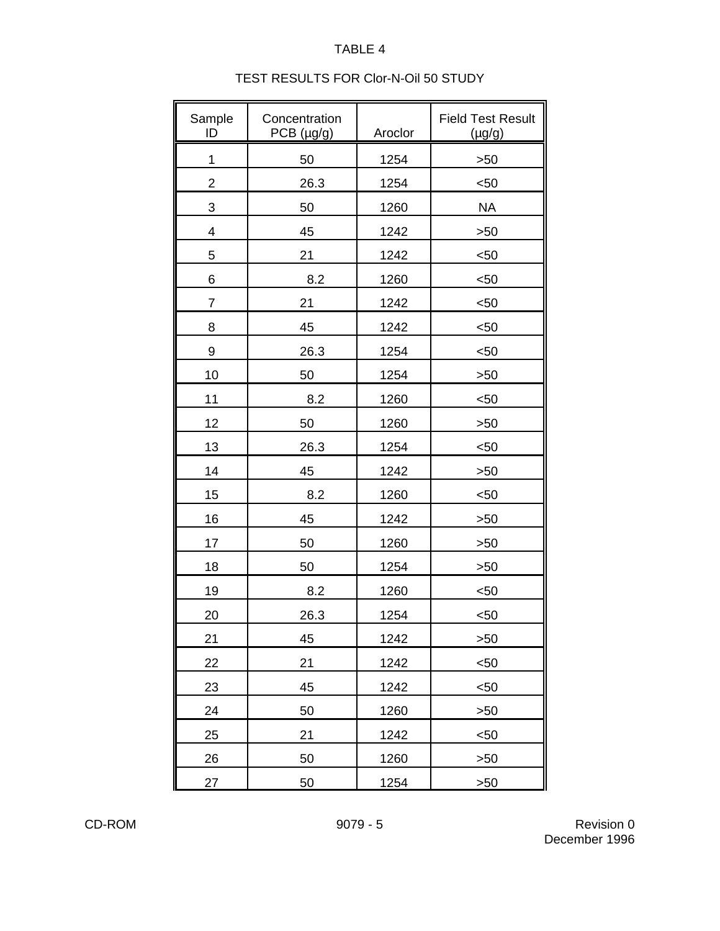# TABLE 4

# TEST RESULTS FOR Clor-N-Oil 50 STUDY

| Sample<br>ID             | Concentration<br>PCB (µg/g) | Aroclor | <b>Field Test Result</b><br>$(\mu g/g)$ |
|--------------------------|-----------------------------|---------|-----------------------------------------|
| 1                        | 50                          | 1254    | >50                                     |
| $\overline{2}$           | 26.3                        | 1254    | $50$                                    |
| 3                        | 50                          | 1260    | <b>NA</b>                               |
| $\overline{\mathcal{A}}$ | 45                          | 1242    | >50                                     |
| 5                        | 21                          | 1242    | $50$                                    |
| 6                        | 8.2                         | 1260    | $50$                                    |
| 7                        | 21                          | 1242    | $50$                                    |
| 8                        | 45                          | 1242    | $50$                                    |
| 9                        | 26.3                        | 1254    | $50$                                    |
| 10                       | 50                          | 1254    | >50                                     |
| 11                       | 8.2                         | 1260    | $50$                                    |
| 12                       | 50                          | 1260    | >50                                     |
| 13                       | 26.3                        | 1254    | $50$                                    |
| 14                       | 45                          | 1242    | >50                                     |
| 15                       | 8.2                         | 1260    | $50$                                    |
| 16                       | 45                          | 1242    | >50                                     |
| 17                       | 50                          | 1260    | >50                                     |
| 18                       | 50                          | 1254    | >50                                     |
| 19                       | 8.2                         | 1260    | $50$                                    |
| 20                       | 26.3                        | 1254    | $50$                                    |
| 21                       | 45                          | 1242    | >50                                     |
| 22                       | 21                          | 1242    | $50$                                    |
| 23                       | 45                          | 1242    | $50$                                    |
| 24                       | 50                          | 1260    | >50                                     |
| 25                       | 21                          | 1242    | $50$                                    |
| 26                       | 50                          | 1260    | >50                                     |
| 27                       | 50                          | 1254    | >50                                     |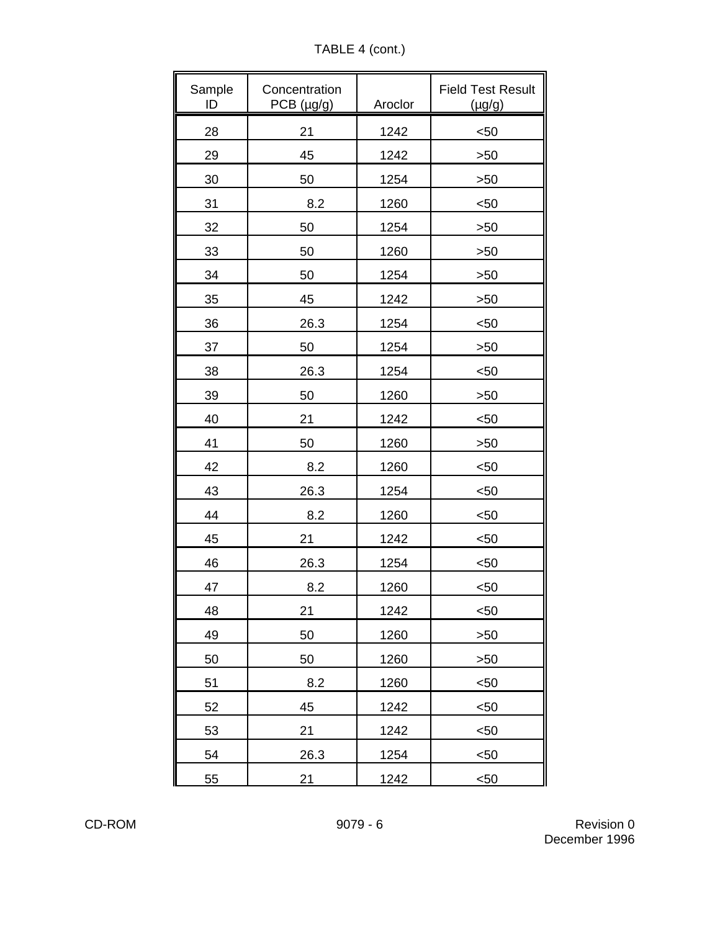TABLE 4 (cont.)

| Sample<br>ID | Concentration<br>$PCB$ ( $\mu$ g/g) | Aroclor | <b>Field Test Result</b><br>$(\mu g/g)$ |
|--------------|-------------------------------------|---------|-----------------------------------------|
| 28           | 21                                  | 1242    | $50$                                    |
| 29           | 45                                  | 1242    | >50                                     |
| 30           | 50                                  | 1254    | >50                                     |
| 31           | 8.2                                 | 1260    | $50$                                    |
| 32           | 50                                  | 1254    | >50                                     |
| 33           | 50                                  | 1260    | >50                                     |
| 34           | 50                                  | 1254    | >50                                     |
| 35           | 45                                  | 1242    | >50                                     |
| 36           | 26.3                                | 1254    | $50$                                    |
| 37           | 50                                  | 1254    | >50                                     |
| 38           | 26.3                                | 1254    | $50$                                    |
| 39           | 50                                  | 1260    | >50                                     |
| 40           | 21                                  | 1242    | $50$                                    |
| 41           | 50                                  | 1260    | >50                                     |
| 42           | 8.2                                 | 1260    | $50$                                    |
| 43           | 26.3                                | 1254    | $50$                                    |
| 44           | 8.2                                 | 1260    | $50$                                    |
| 45           | 21                                  | 1242    | $50$                                    |
| 46           | 26.3                                | 1254    | $50$                                    |
| 47           | 8.2                                 | 1260    | $50$                                    |
| 48           | 21                                  | 1242    | $50$                                    |
| 49           | 50                                  | 1260    | >50                                     |
| 50           | 50                                  | 1260    | >50                                     |
| 51           | 8.2                                 | 1260    | $50$                                    |
| 52           | 45                                  | 1242    | $50$                                    |
| 53           | 21                                  | 1242    | $50$                                    |
| 54           | 26.3                                | 1254    | $50$                                    |
| 55           | 21                                  | 1242    | $50$                                    |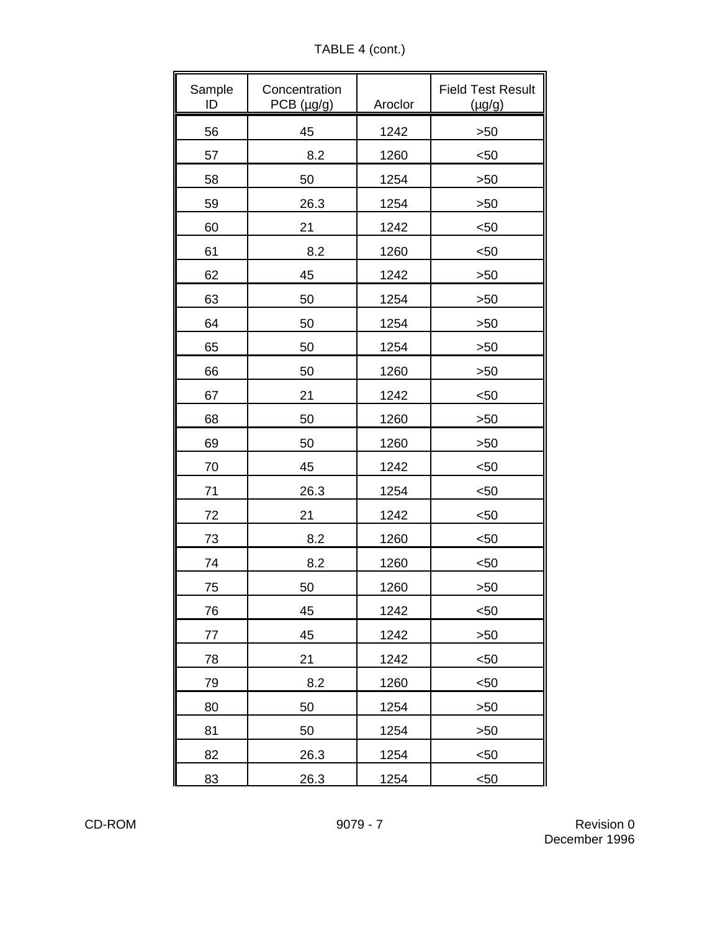TABLE 4 (cont.)

| Sample<br>ID | Concentration<br>PCB (µg/g) | Aroclor | <b>Field Test Result</b><br>$(\mu g/g)$ |
|--------------|-----------------------------|---------|-----------------------------------------|
| 56           | 45                          | 1242    | >50                                     |
| 57           | 8.2                         | 1260    | $50$                                    |
| 58           | 50                          | 1254    | >50                                     |
| 59           | 26.3                        | 1254    | >50                                     |
| 60           | 21                          | 1242    | $50$                                    |
| 61           | 8.2                         | 1260    | $50$                                    |
| 62           | 45                          | 1242    | >50                                     |
| 63           | 50                          | 1254    | >50                                     |
| 64           | 50                          | 1254    | >50                                     |
| 65           | 50                          | 1254    | >50                                     |
| 66           | 50                          | 1260    | >50                                     |
| 67           | 21                          | 1242    | $50$                                    |
| 68           | 50                          | 1260    | >50                                     |
| 69           | 50                          | 1260    | >50                                     |
| 70           | 45                          | 1242    | $50$                                    |
| 71           | 26.3                        | 1254    | $50$                                    |
| 72           | 21                          | 1242    | $50$                                    |
| 73           | 8.2                         | 1260    | $50$                                    |
| 74           | 8.2                         | 1260    | $50$                                    |
| 75           | 50                          | 1260    | >50                                     |
| 76           | 45                          | 1242    | $50$                                    |
| 77           | 45                          | 1242    | >50                                     |
| 78           | 21                          | 1242    | $50$                                    |
| 79           | 8.2                         | 1260    | $50$                                    |
| 80           | 50                          | 1254    | >50                                     |
| 81           | 50                          | 1254    | >50                                     |
| 82           | 26.3                        | 1254    | $50$                                    |
| 83           | 26.3                        | 1254    | $50$                                    |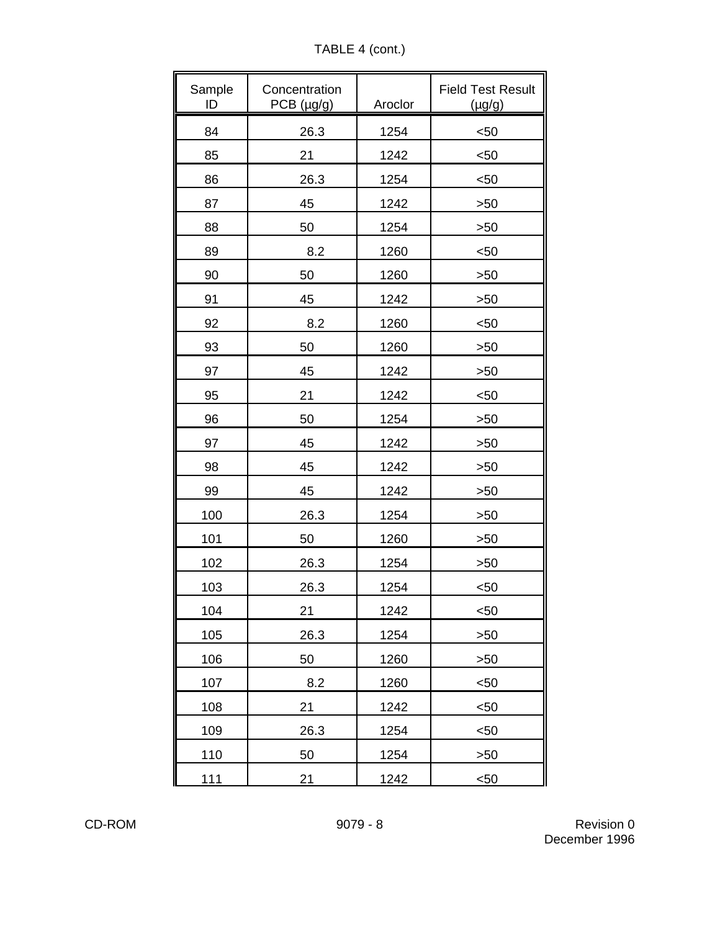TABLE 4 (cont.)

| Sample<br>ID | Concentration<br>PCB (µg/g) | Aroclor | <b>Field Test Result</b><br>$(\mu g/g)$ |
|--------------|-----------------------------|---------|-----------------------------------------|
| 84           | 26.3                        | 1254    | $50$                                    |
| 85           | 21                          | 1242    | $50$                                    |
| 86           | 26.3                        | 1254    | $50$                                    |
| 87           | 45                          | 1242    | >50                                     |
| 88           | 50                          | 1254    | >50                                     |
| 89           | 8.2                         | 1260    | $50$                                    |
| 90           | 50                          | 1260    | >50                                     |
| 91           | 45                          | 1242    | >50                                     |
| 92           | 8.2                         | 1260    | $50$                                    |
| 93           | 50                          | 1260    | >50                                     |
| 97           | 45                          | 1242    | >50                                     |
| 95           | 21                          | 1242    | $50$                                    |
| 96           | 50                          | 1254    | >50                                     |
| 97           | 45                          | 1242    | >50                                     |
| 98           | 45                          | 1242    | >50                                     |
| 99           | 45                          | 1242    | >50                                     |
| 100          | 26.3                        | 1254    | >50                                     |
| 101          | 50                          | 1260    | >50                                     |
| 102          | 26.3                        | 1254    | >50                                     |
| 103          | 26.3                        | 1254    | $50$                                    |
| 104          | 21                          | 1242    | $50$                                    |
| 105          | 26.3                        | 1254    | >50                                     |
| 106          | 50                          | 1260    | >50                                     |
| 107          | 8.2                         | 1260    | $50$                                    |
| 108          | 21                          | 1242    | $50$                                    |
| 109          | 26.3                        | 1254    | $50$                                    |
| 110          | 50                          | 1254    | >50                                     |
| 111          | 21                          | 1242    | $50$                                    |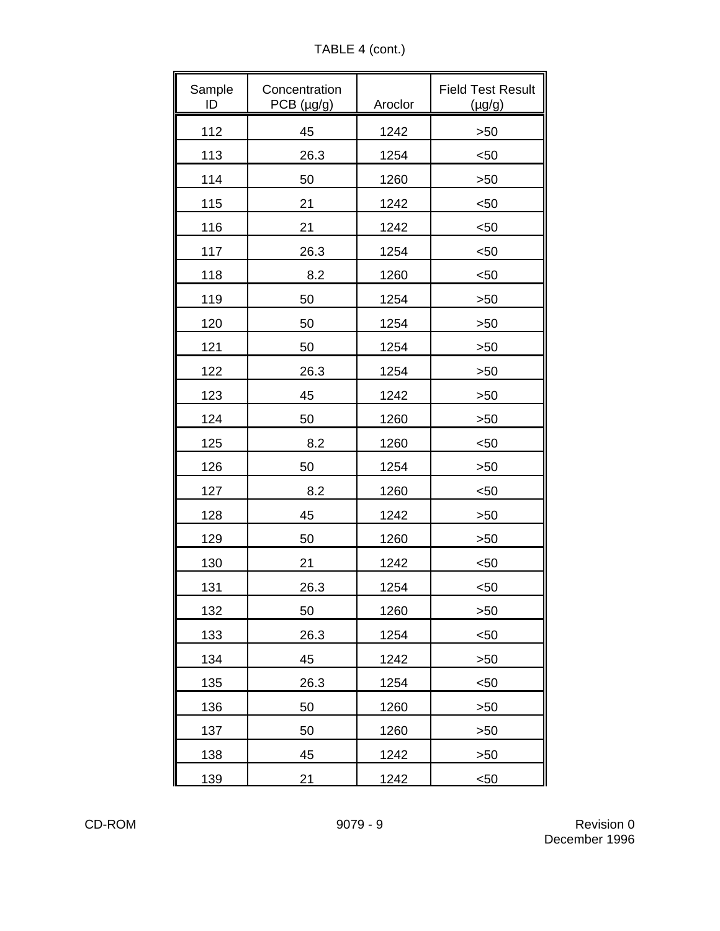TABLE 4 (cont.)

| Sample<br>ID | Concentration<br>PCB (µg/g) | Aroclor | <b>Field Test Result</b><br>$(\mu g/g)$ |
|--------------|-----------------------------|---------|-----------------------------------------|
| 112          | 45                          | 1242    | >50                                     |
| 113          | 26.3                        | 1254    | $50$                                    |
| 114          | 50                          | 1260    | >50                                     |
| 115          | 21                          | 1242    | $50$                                    |
| 116          | 21                          | 1242    | $50$                                    |
| 117          | 26.3                        | 1254    | $50$                                    |
| 118          | 8.2                         | 1260    | $50$                                    |
| 119          | 50                          | 1254    | >50                                     |
| 120          | 50                          | 1254    | >50                                     |
| 121          | 50                          | 1254    | >50                                     |
| 122          | 26.3                        | 1254    | >50                                     |
| 123          | 45                          | 1242    | >50                                     |
| 124          | 50                          | 1260    | >50                                     |
| 125          | 8.2                         | 1260    | $50$                                    |
| 126          | 50                          | 1254    | >50                                     |
| 127          | 8.2                         | 1260    | $50$                                    |
| 128          | 45                          | 1242    | >50                                     |
| 129          | 50                          | 1260    | >50                                     |
| 130          | 21                          | 1242    | $50$                                    |
| 131          | 26.3                        | 1254    | $50$                                    |
| 132          | 50                          | 1260    | >50                                     |
| 133          | 26.3                        | 1254    | $50$                                    |
| 134          | 45                          | 1242    | >50                                     |
| 135          | 26.3                        | 1254    | $50$                                    |
| 136          | 50                          | 1260    | >50                                     |
| 137          | 50                          | 1260    | >50                                     |
| 138          | 45                          | 1242    | >50                                     |
| 139          | 21                          | 1242    | $50$                                    |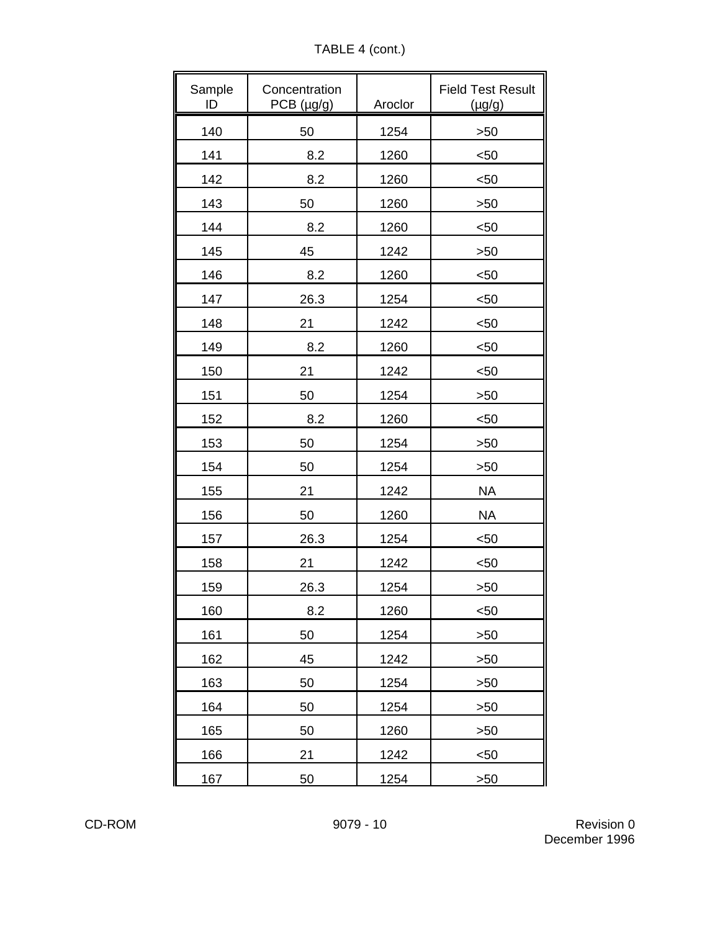TABLE 4 (cont.)

| Sample<br>ID | Concentration<br>PCB (µg/g) | Aroclor | <b>Field Test Result</b><br>(µg/g) |
|--------------|-----------------------------|---------|------------------------------------|
| 140          | 50                          | 1254    | >50                                |
| 141          | 8.2                         | 1260    | $50$                               |
| 142          | 8.2                         | 1260    | $50$                               |
| 143          | 50                          | 1260    | >50                                |
| 144          | 8.2                         | 1260    | $50$                               |
| 145          | 45                          | 1242    | >50                                |
| 146          | 8.2                         | 1260    | $50$                               |
| 147          | 26.3                        | 1254    | $50$                               |
| 148          | 21                          | 1242    | $50$                               |
| 149          | 8.2                         | 1260    | $50$                               |
| 150          | 21                          | 1242    | $50$                               |
| 151          | 50                          | 1254    | >50                                |
| 152          | 8.2                         | 1260    | $50$                               |
| 153          | 50                          | 1254    | >50                                |
| 154          | 50                          | 1254    | >50                                |
| 155          | 21                          | 1242    | <b>NA</b>                          |
| 156          | 50                          | 1260    | <b>NA</b>                          |
| 157          | 26.3                        | 1254    | $50$                               |
| 158          | 21                          | 1242    | $50$                               |
| 159          | 26.3                        | 1254    | >50                                |
| 160          | 8.2                         | 1260    | $50$                               |
| 161          | 50                          | 1254    | >50                                |
| 162          | 45                          | 1242    | >50                                |
| 163          | 50                          | 1254    | >50                                |
| 164          | 50                          | 1254    | >50                                |
| 165          | 50                          | 1260    | >50                                |
| 166          | 21                          | 1242    | $50$                               |
| 167          | 50                          | 1254    | >50                                |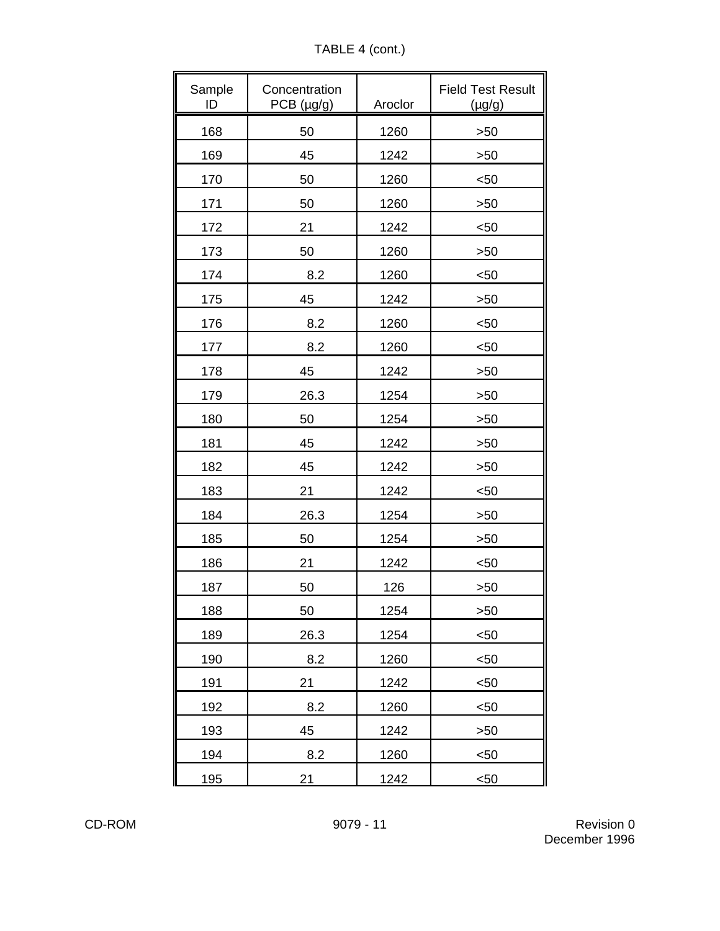TABLE 4 (cont.)

| Sample<br>ID | Concentration<br>PCB (µg/g) | Aroclor | <b>Field Test Result</b><br>$(\mu g/g)$ |
|--------------|-----------------------------|---------|-----------------------------------------|
| 168          | 50                          | 1260    | >50                                     |
| 169          | 45                          | 1242    | >50                                     |
| 170          | 50                          | 1260    | $50$                                    |
| 171          | 50                          | 1260    | >50                                     |
| 172          | 21                          | 1242    | $50$                                    |
| 173          | 50                          | 1260    | >50                                     |
| 174          | 8.2                         | 1260    | $50$                                    |
| 175          | 45                          | 1242    | >50                                     |
| 176          | 8.2                         | 1260    | $50$                                    |
| 177          | 8.2                         | 1260    | $50$                                    |
| 178          | 45                          | 1242    | >50                                     |
| 179          | 26.3                        | 1254    | >50                                     |
| 180          | 50                          | 1254    | >50                                     |
| 181          | 45                          | 1242    | >50                                     |
| 182          | 45                          | 1242    | >50                                     |
| 183          | 21                          | 1242    | $50$                                    |
| 184          | 26.3                        | 1254    | >50                                     |
| 185          | 50                          | 1254    | >50                                     |
| 186          | 21                          | 1242    | $50$                                    |
| 187          | 50                          | 126     | >50                                     |
| 188          | 50                          | 1254    | >50                                     |
| 189          | 26.3                        | 1254    | $50$                                    |
| 190          | 8.2                         | 1260    | $50$                                    |
| 191          | 21                          | 1242    | $50$                                    |
| 192          | 8.2                         | 1260    | $50$                                    |
| 193          | 45                          | 1242    | >50                                     |
| 194          | 8.2                         | 1260    | $50$                                    |
| <u>195</u>   | 21                          | 1242    | $50$                                    |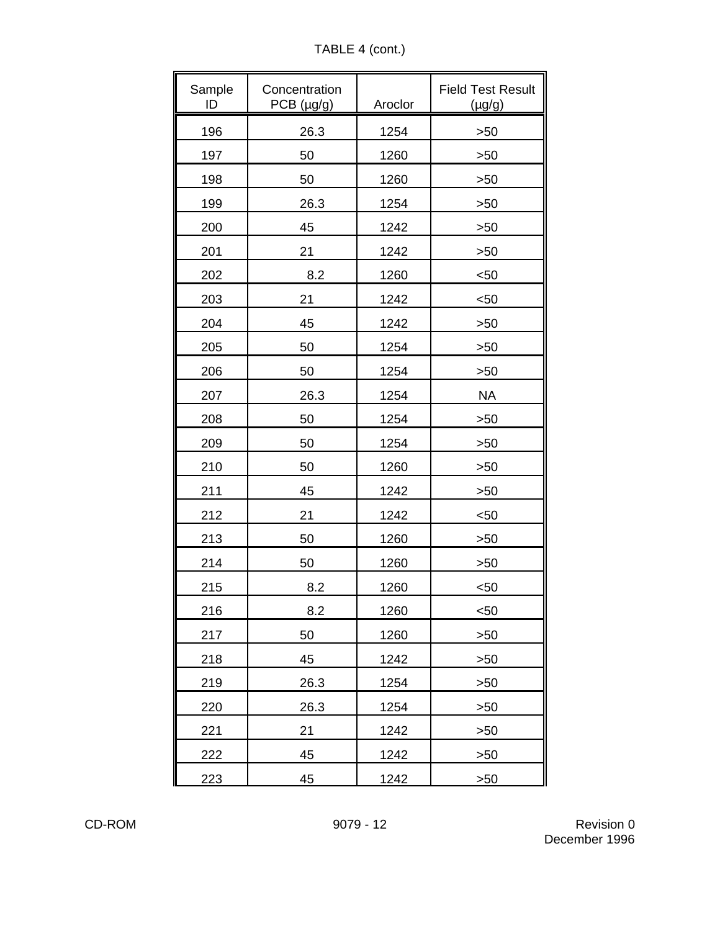TABLE 4 (cont.)

| Sample<br>ID | Concentration<br>PCB (µg/g) | Aroclor | <b>Field Test Result</b><br>$(\mu g/g)$ |
|--------------|-----------------------------|---------|-----------------------------------------|
| 196          | 26.3                        | 1254    | >50                                     |
| 197          | 50                          | 1260    | >50                                     |
| 198          | 50                          | 1260    | >50                                     |
| 199          | 26.3                        | 1254    | >50                                     |
| 200          | 45                          | 1242    | >50                                     |
| 201          | 21                          | 1242    | >50                                     |
| 202          | 8.2                         | 1260    | $50$                                    |
| 203          | 21                          | 1242    | $50$                                    |
| 204          | 45                          | 1242    | >50                                     |
| 205          | 50                          | 1254    | >50                                     |
| 206          | 50                          | 1254    | >50                                     |
| 207          | 26.3                        | 1254    | <b>NA</b>                               |
| 208          | 50                          | 1254    | >50                                     |
| 209          | 50                          | 1254    | >50                                     |
| 210          | 50                          | 1260    | >50                                     |
| 211          | 45                          | 1242    | >50                                     |
| 212          | 21                          | 1242    | $50$                                    |
| 213          | 50                          | 1260    | >50                                     |
| 214          | 50                          | 1260    | >50                                     |
| 215          | 8.2                         | 1260    | $50$                                    |
| 216          | 8.2                         | 1260    | $50$                                    |
| 217          | 50                          | 1260    | >50                                     |
| 218          | 45                          | 1242    | >50                                     |
| 219          | 26.3                        | 1254    | >50                                     |
| 220          | 26.3                        | 1254    | >50                                     |
| 221          | 21                          | 1242    | >50                                     |
| 222          | 45                          | 1242    | >50                                     |
| 223          | 45                          | 1242    | >50                                     |